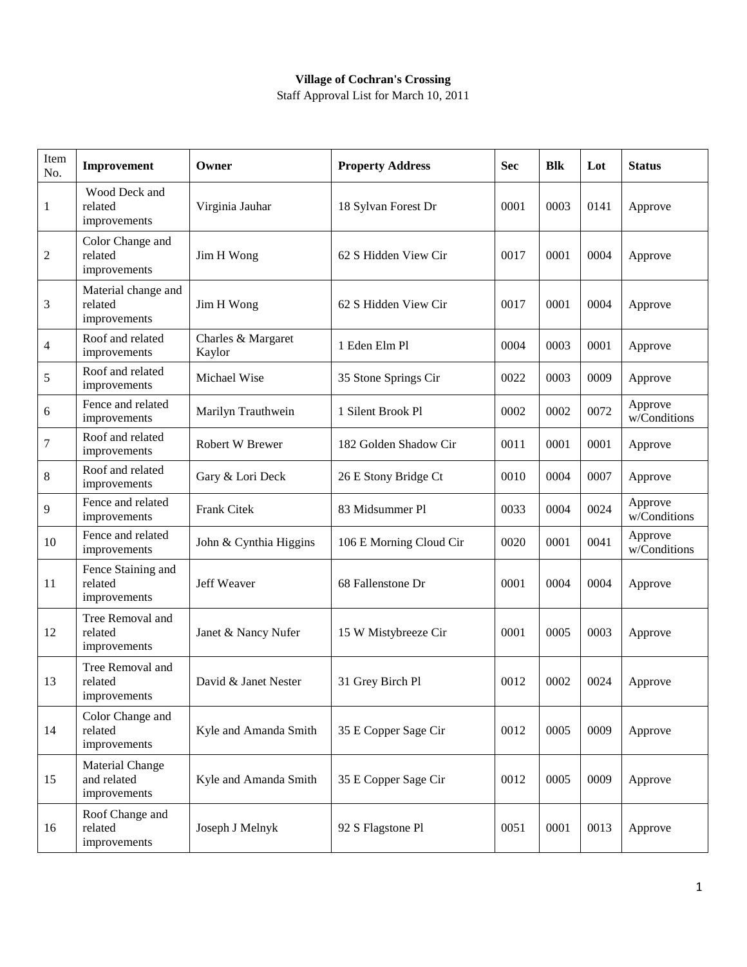## **Village of Cochran's Crossing**

Staff Approval List for March 10, 2011

| Item<br>No. | Improvement                                           | Owner                        | <b>Property Address</b> | <b>Sec</b> | <b>Blk</b> | Lot  | <b>Status</b>           |
|-------------|-------------------------------------------------------|------------------------------|-------------------------|------------|------------|------|-------------------------|
| 1           | Wood Deck and<br>related<br>improvements              | Virginia Jauhar              | 18 Sylvan Forest Dr     | 0001       | 0003       | 0141 | Approve                 |
| 2           | Color Change and<br>related<br>improvements           | Jim H Wong                   | 62 S Hidden View Cir    | 0017       | 0001       | 0004 | Approve                 |
| 3           | Material change and<br>related<br>improvements        | Jim H Wong                   | 62 S Hidden View Cir    | 0017       | 0001       | 0004 | Approve                 |
| 4           | Roof and related<br>improvements                      | Charles & Margaret<br>Kaylor | 1 Eden Elm Pl           | 0004       | 0003       | 0001 | Approve                 |
| $\sqrt{5}$  | Roof and related<br>improvements                      | Michael Wise                 | 35 Stone Springs Cir    | 0022       | 0003       | 0009 | Approve                 |
| 6           | Fence and related<br>improvements                     | Marilyn Trauthwein           | 1 Silent Brook Pl       | 0002       | 0002       | 0072 | Approve<br>w/Conditions |
| $\tau$      | Roof and related<br>improvements                      | Robert W Brewer              | 182 Golden Shadow Cir   | 0011       | 0001       | 0001 | Approve                 |
| $\,8\,$     | Roof and related<br>improvements                      | Gary & Lori Deck             | 26 E Stony Bridge Ct    | 0010       | 0004       | 0007 | Approve                 |
| 9           | Fence and related<br>improvements                     | Frank Citek                  | 83 Midsummer Pl         | 0033       | 0004       | 0024 | Approve<br>w/Conditions |
| 10          | Fence and related<br>improvements                     | John & Cynthia Higgins       | 106 E Morning Cloud Cir | 0020       | 0001       | 0041 | Approve<br>w/Conditions |
| 11          | Fence Staining and<br>related<br>improvements         | Jeff Weaver                  | 68 Fallenstone Dr       | 0001       | 0004       | 0004 | Approve                 |
| 12          | Tree Removal and<br>related<br>improvements           | Janet & Nancy Nufer          | 15 W Mistybreeze Cir    | 0001       | 0005       | 0003 | Approve                 |
| 13          | Tree Removal and<br>related<br>improvements           | David & Janet Nester         | 31 Grey Birch Pl        | 0012       | 0002       | 0024 | Approve                 |
| 14          | Color Change and<br>related<br>improvements           | Kyle and Amanda Smith        | 35 E Copper Sage Cir    | 0012       | 0005       | 0009 | Approve                 |
| 15          | <b>Material Change</b><br>and related<br>improvements | Kyle and Amanda Smith        | 35 E Copper Sage Cir    | 0012       | 0005       | 0009 | Approve                 |
| 16          | Roof Change and<br>related<br>improvements            | Joseph J Melnyk              | 92 S Flagstone Pl       | 0051       | 0001       | 0013 | Approve                 |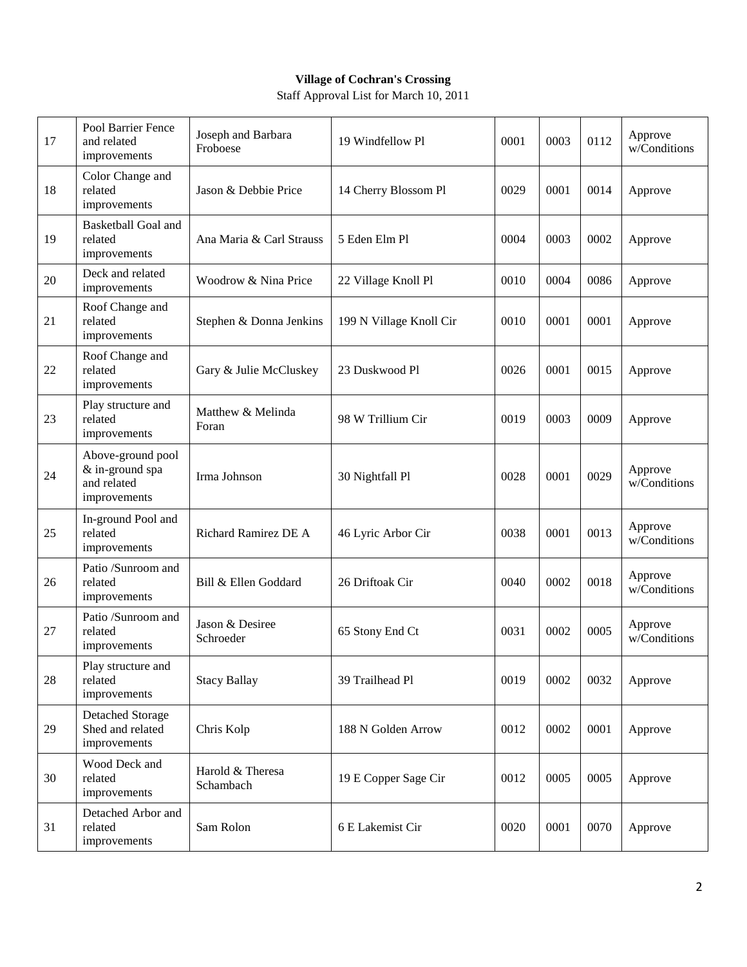## **Village of Cochran's Crossing**

Staff Approval List for March 10, 2011

| 17 | Pool Barrier Fence<br>and related<br>improvements                   | Joseph and Barbara<br>Froboese | 19 Windfellow Pl        | 0001 | 0003 | 0112 | Approve<br>w/Conditions |
|----|---------------------------------------------------------------------|--------------------------------|-------------------------|------|------|------|-------------------------|
| 18 | Color Change and<br>related<br>improvements                         | Jason & Debbie Price           | 14 Cherry Blossom Pl    | 0029 | 0001 | 0014 | Approve                 |
| 19 | <b>Basketball Goal and</b><br>related<br>improvements               | Ana Maria & Carl Strauss       | 5 Eden Elm Pl           | 0004 | 0003 | 0002 | Approve                 |
| 20 | Deck and related<br>improvements                                    | Woodrow & Nina Price           | 22 Village Knoll Pl     | 0010 | 0004 | 0086 | Approve                 |
| 21 | Roof Change and<br>related<br>improvements                          | Stephen & Donna Jenkins        | 199 N Village Knoll Cir | 0010 | 0001 | 0001 | Approve                 |
| 22 | Roof Change and<br>related<br>improvements                          | Gary & Julie McCluskey         | 23 Duskwood Pl          | 0026 | 0001 | 0015 | Approve                 |
| 23 | Play structure and<br>related<br>improvements                       | Matthew & Melinda<br>Foran     | 98 W Trillium Cir       | 0019 | 0003 | 0009 | Approve                 |
| 24 | Above-ground pool<br>& in-ground spa<br>and related<br>improvements | Irma Johnson                   | 30 Nightfall Pl         | 0028 | 0001 | 0029 | Approve<br>w/Conditions |
| 25 | In-ground Pool and<br>related<br>improvements                       | Richard Ramirez DE A           | 46 Lyric Arbor Cir      | 0038 | 0001 | 0013 | Approve<br>w/Conditions |
| 26 | Patio /Sunroom and<br>related<br>improvements                       | Bill & Ellen Goddard           | 26 Driftoak Cir         | 0040 | 0002 | 0018 | Approve<br>w/Conditions |
| 27 | Patio /Sunroom and<br>related<br>improvements                       | Jason & Desiree<br>Schroeder   | 65 Stony End Ct         | 0031 | 0002 | 0005 | Approve<br>w/Conditions |
| 28 | Play structure and<br>related<br>improvements                       | <b>Stacy Ballay</b>            | 39 Trailhead Pl         | 0019 | 0002 | 0032 | Approve                 |
| 29 | <b>Detached Storage</b><br>Shed and related<br>improvements         | Chris Kolp                     | 188 N Golden Arrow      | 0012 | 0002 | 0001 | Approve                 |
| 30 | Wood Deck and<br>related<br>improvements                            | Harold & Theresa<br>Schambach  | 19 E Copper Sage Cir    | 0012 | 0005 | 0005 | Approve                 |
| 31 | Detached Arbor and<br>related<br>improvements                       | Sam Rolon                      | 6 E Lakemist Cir        | 0020 | 0001 | 0070 | Approve                 |